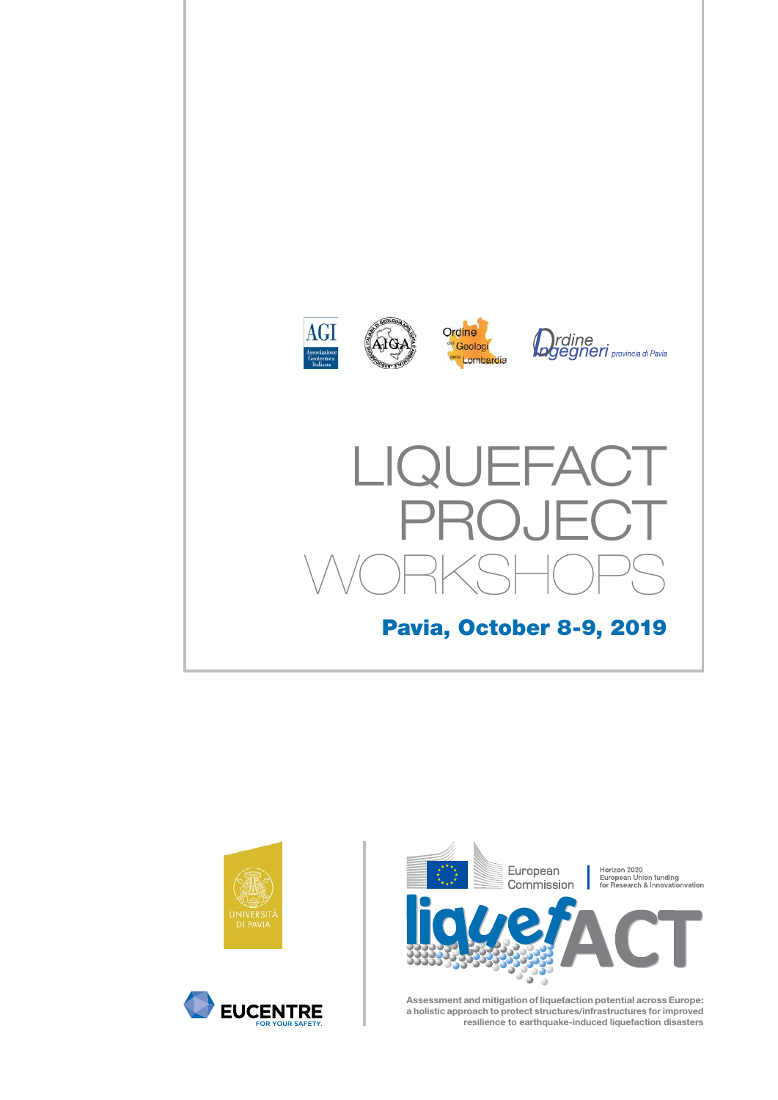







# LIQUEFACT PROJECT WORKSHOPS Pavia, October 8-9, 2019







**Assessment and mitigation of liquefaction potential across Europe: a holistic approach to protect structures/infrastructures for improved resilience to earthquake-induced liquefaction disasters**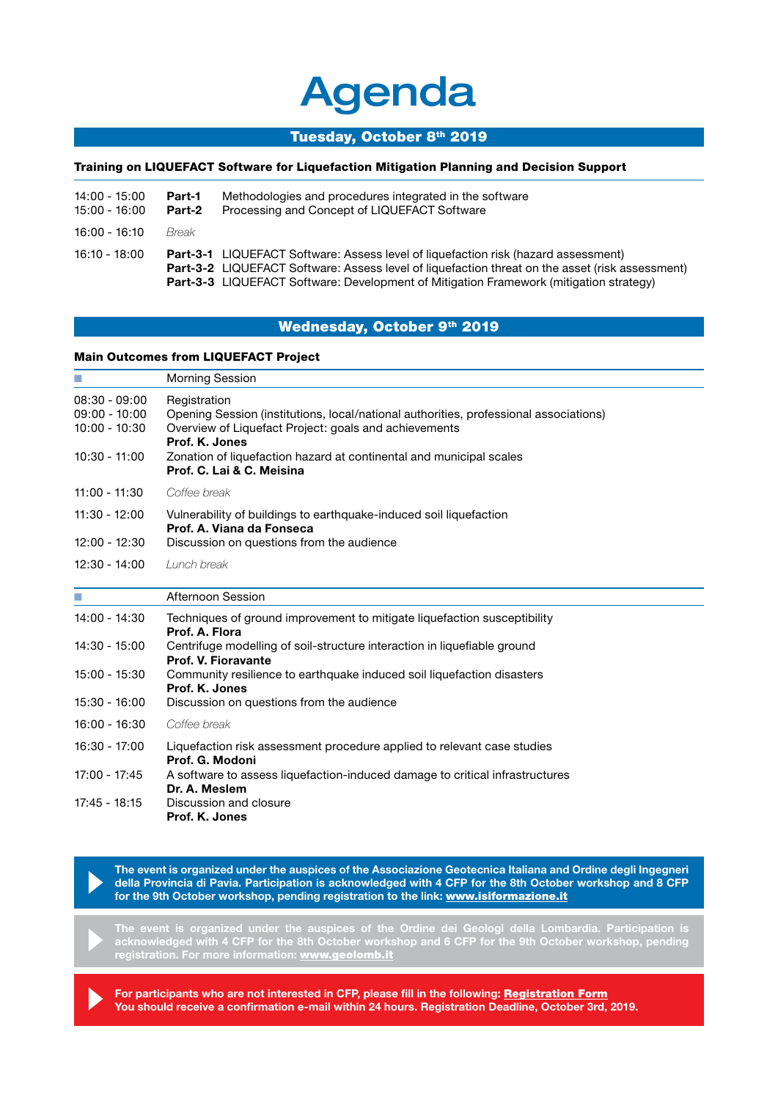# Agenda

#### Tuesday, October 8th 2019

## Training on LIQUEFACT Software for Liquefaction Mitigation Planning and Decision Support

| 14:00 - 15:00<br>15:00 - 16:00 | Part-1<br>Part-2 | Methodologies and procedures integrated in the software<br>Processing and Concept of LIQUEFACT Software                                                                                                                                                                                              |
|--------------------------------|------------------|------------------------------------------------------------------------------------------------------------------------------------------------------------------------------------------------------------------------------------------------------------------------------------------------------|
| $16:00 - 16:10$                | <i>Break</i>     |                                                                                                                                                                                                                                                                                                      |
| 16:10 - 18:00                  |                  | <b>Part-3-1</b> LIQUEFACT Software: Assess level of liquefaction risk (hazard assessment)<br><b>Part-3-2</b> LIQUEFACT Software: Assess level of liquefaction threat on the asset (risk assessment)<br><b>Part-3-3</b> LIQUEFACT Software: Development of Mitigation Framework (mitigation strategy) |

## Wednesday, October 9th 2019

#### Main Outcomes from LIQUEFACT Project

| m.                                                                       | <b>Morning Session</b>                                                                                                                                                                                                                                                               |  |  |
|--------------------------------------------------------------------------|--------------------------------------------------------------------------------------------------------------------------------------------------------------------------------------------------------------------------------------------------------------------------------------|--|--|
| $08:30 - 09:00$<br>$09:00 - 10:00$<br>$10:00 - 10:30$<br>$10:30 - 11:00$ | Registration<br>Opening Session (institutions, local/national authorities, professional associations)<br>Overview of Liquefact Project: goals and achievements<br>Prof. K. Jones<br>Zonation of liquefaction hazard at continental and municipal scales<br>Prof. C. Lai & C. Meisina |  |  |
| $11:00 - 11:30$                                                          | Coffee break                                                                                                                                                                                                                                                                         |  |  |
| $11:30 - 12:00$                                                          | Vulnerability of buildings to earthquake-induced soil liquefaction<br>Prof. A. Viana da Fonseca                                                                                                                                                                                      |  |  |
| $12:00 - 12:30$                                                          | Discussion on questions from the audience                                                                                                                                                                                                                                            |  |  |
| $12:30 - 14:00$                                                          | Lunch break                                                                                                                                                                                                                                                                          |  |  |
| H.                                                                       | Afternoon Session                                                                                                                                                                                                                                                                    |  |  |
| 14:00 - 14:30                                                            | Techniques of ground improvement to mitigate liquefaction susceptibility<br>Prof. A. Flora                                                                                                                                                                                           |  |  |
| 14:30 - 15:00                                                            | Centrifuge modelling of soil-structure interaction in liquefiable ground<br>Prof. V. Fioravante                                                                                                                                                                                      |  |  |
| 15:00 - 15:30                                                            | Community resilience to earthquake induced soil liquefaction disasters<br>Prof. K. Jones                                                                                                                                                                                             |  |  |
| $15:30 - 16:00$                                                          | Discussion on questions from the audience                                                                                                                                                                                                                                            |  |  |
| $16:00 - 16:30$                                                          | Coffee break                                                                                                                                                                                                                                                                         |  |  |
| 16:30 - 17:00                                                            | Liquefaction risk assessment procedure applied to relevant case studies<br>Prof. G. Modoni                                                                                                                                                                                           |  |  |
| 17:00 - 17:45                                                            | A software to assess liquefaction-induced damage to critical infrastructures<br>Dr. A. Meslem                                                                                                                                                                                        |  |  |
| $17:45 - 18:15$                                                          | Discussion and closure<br>Prof. K. Jones                                                                                                                                                                                                                                             |  |  |

**The event is organized under the auspices of the Associazione Geotecnica Italiana and Ordine degli Ingegneri della Provincia di Pavia. Participation is acknowledged with 4 CFP for the 8th October workshop and 8 CFP for the 9th October workshop, pending registration to the link:** www.isiformazione.it

**The event is organized under the auspices of the Ordine dei Geologi della Lombardia. Participation is acknowledged with 4 CFP for the 8th October workshop and 6 CFP for the 9th October workshop, pending registration. For more information:** www.geolomb.it

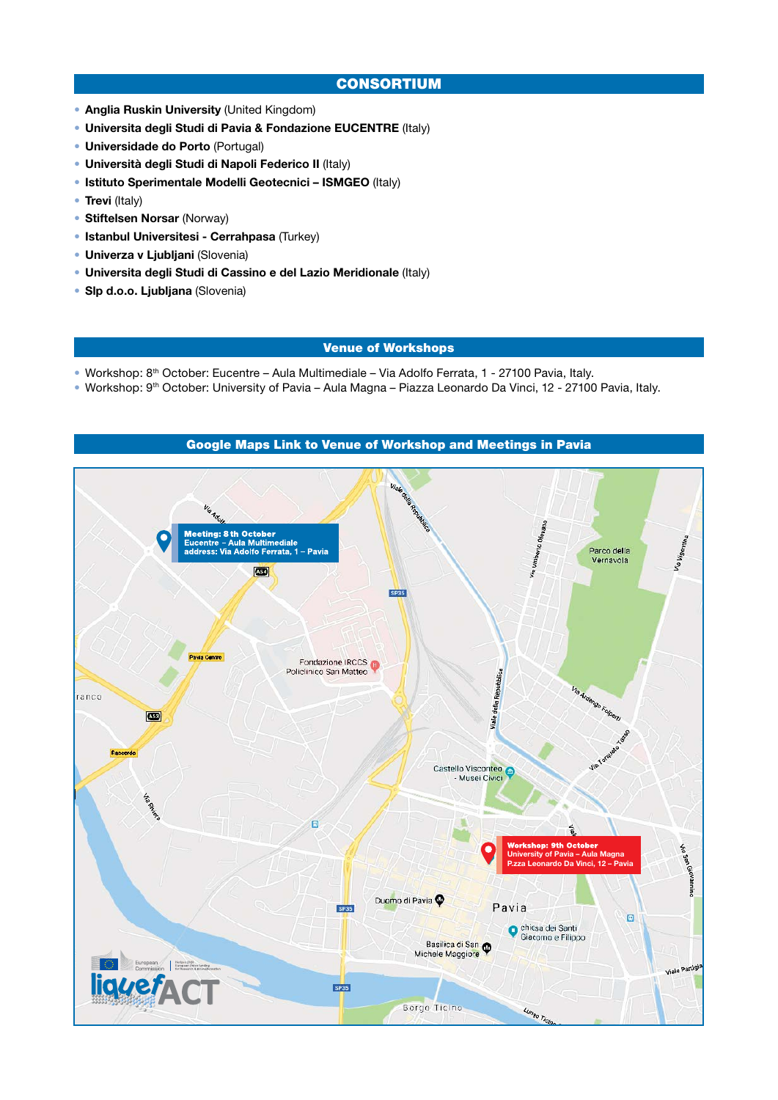## CONSORTIUM

- **Anglia Ruskin University** (United Kingdom)
- **Universita degli Studi di Pavia & Fondazione EUCENTRE** (Italy)
- **Universidade do Porto** (Portugal)
- **Università degli Studi di Napoli Federico II** (Italy)
- **Istituto Sperimentale Modelli Geotecnici ISMGEO** (Italy)
- **Trevi** (Italy)
- **Stiftelsen Norsar** (Norway)
- **Istanbul Universitesi Cerrahpasa** (Turkey)
- **Univerza v Ljubljani** (Slovenia)
- **Universita degli Studi di Cassino e del Lazio Meridionale** (Italy)
- **Slp d.o.o. Ljubljana** (Slovenia)

#### Venue of Workshops

- Workshop: 8th October: Eucentre Aula Multimediale Via Adolfo Ferrata, 1 27100 Pavia, Italy.
- Workshop: 9th October: University of Pavia Aula Magna Piazza Leonardo Da Vinci, 12 27100 Pavia, Italy.